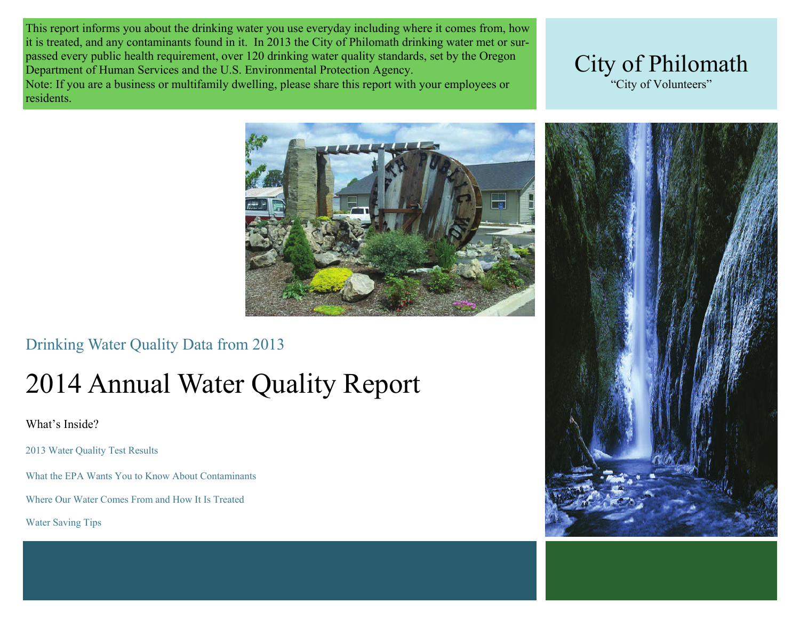This report informs you about the drinking water you use everyday including where it comes from, how it is treated, and any contaminants found in it. In 2013 the City of Philomath drinking water met or surpassed every public health requirement, over 120 drinking water quality standards, set by the Oregon Department of Human Services and the U.S. Environmental Protection Agency. Note: If you are a business or multifamily dwelling, please share this report with your employees or residents.





## Drinking Water Quality Data from 2013

# 2014 Annual Water Quality Report

What's Inside?

2013 Water Quality Test Results

What the EPA Wants You to Know About Contaminants

Where Our Water Comes From and How It Is Treated

Water Saving Tips

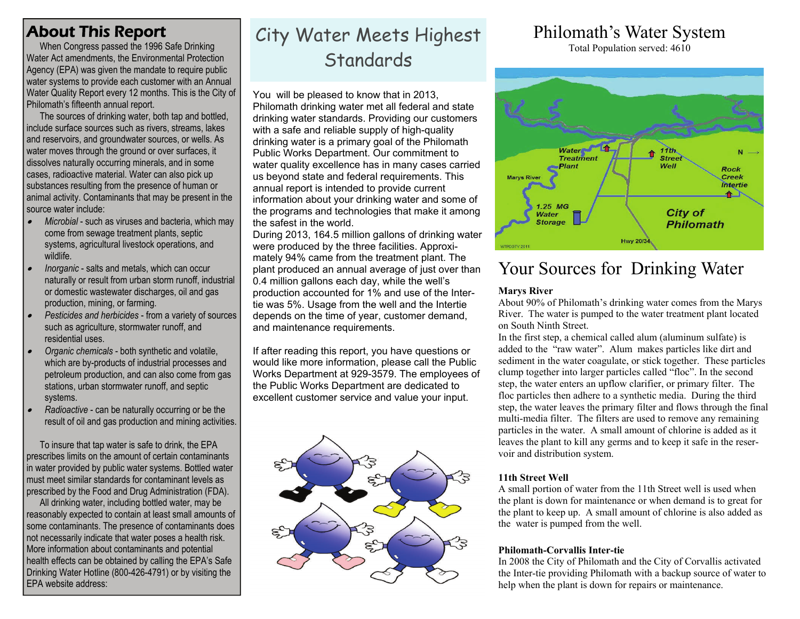## About This Report

When Congress passed the 1996 Safe Drinking Water Act amendments, the Environmental Protection Agency (EPA) was given the mandate to require public water systems to provide each customer with an Annual Water Quality Report every 12 months. This is the City of Philomath's fifteenth annual report.

 The sources of drinking water, both tap and bottled, l include surface sources such as rivers, streams, lakes and reservoirs, and groundwater sources, or wells. As water moves through the ground or over surfaces, it dissolves naturally occurring minerals, and in some cases, radioactive material. Water can also pick up substances resulting from the presence of human or animal activity. Contaminants that may be present in the source water include:

- $\bullet$  *Microbial* - such as viruses and bacteria, which may come from sewage treatment plants, septic systems, agricultural livestock operations, and wildlife.
- $\bullet$  *Inorganic* - salts and metals, which can occur naturally or result from urban storm runoff, industrial or domestic wastewater discharges, oil and gas production, mining, or farming.
- $\bullet$  *Pesticides and herbicides* - from a variety of sources such as agriculture, stormwater runoff, and residential uses.
- $\bullet$  *Organic chemicals* - both synthetic and volatile, which are by-products of industrial processes and petroleum production, and can also come from gas stations, urban stormwater runoff, and septic systems.
- $\bullet$  *Radioactive* - can be naturally occurring or be the result of oil and gas production and mining activities.

 To insure that tap water is safe to drink, the EPA prescribes limits on the amount of certain contaminants in water provided by public water systems. Bottled water must meet similar standards for contaminant levels as prescribed by the Food and Drug Administration (FDA).

 All drinking water, including bottled water, may be reasonably expected to contain at least small amounts of some contaminants. The presence of contaminants does not necessarily indicate that water poses a health risk. More information about contaminants and potential health effects can be obtained by calling the EPA's Safe Drinking Water Hotline (800-426-4791) or by visiting the EPA website address:

## City Water Meets Highest **Standards**

You will be pleased to know that in 2013, Philomath drinking water met all federal and state drinking water standards. Providing our customers with a safe and reliable supply of high-quality drinking water is a primary goal of the Philomath Public Works Department. Our commitment to water quality excellence has in many cases carried us beyond state and federal requirements. This annual report is intended to provide current information about your drinking water and some of the programs and technologies that make it among the safest in the world.

During 2013, 164.5 million gallons of drinking water were produced by the three facilities. Approximately 94% came from the treatment plant. The plant produced an annual average of just over than 0.4 million gallons each day, while the well's production accounted for 1% and use of the Intertie was 5%. Usage from the well and the Intertie depends on the time of year, customer demand, and maintenance requirements.

If after reading this report, you have questions or would like more information, please call the Public Works Department at 929-3579. The employees of the Public Works Department are dedicated to excellent customer service and value your input.



## Philomath's Water System

Total Population served: 4610



## Your Sources for Drinking Water

#### **Marys River**

About 90% of Philomath's drinking water comes from the Marys River. The water is pumped to the water treatment plant located on South Ninth Street.

In the first step, a chemical called alum (aluminum sulfate) is added to the "raw water". Alum makes particles like dirt and sediment in the water coagulate, or stick together. These particles clump together into larger particles called "floc". In the second step, the water enters an upflow clarifier, or primary filter. The floc particles then adhere to a synthetic media. During the third step, the water leaves the primary filter and flows through the final multi-media filter. The filters are used to remove any remaining particles in the water. A small amount of chlorine is added as it leaves the plant to kill any germs and to keep it safe in the reservoir and distribution system.

#### **11th Street Well**

A small portion of water from the 11th Street well is used when the plant is down for maintenance or when demand is to great for the plant to keep up. A small amount of chlorine is also added as the water is pumped from the well.

#### **Philomath-Corvallis Inter-tie**

In 2008 the City of Philomath and the City of Corvallis activated the Inter-tie providing Philomath with a backup source of water to help when the plant is down for repairs or maintenance.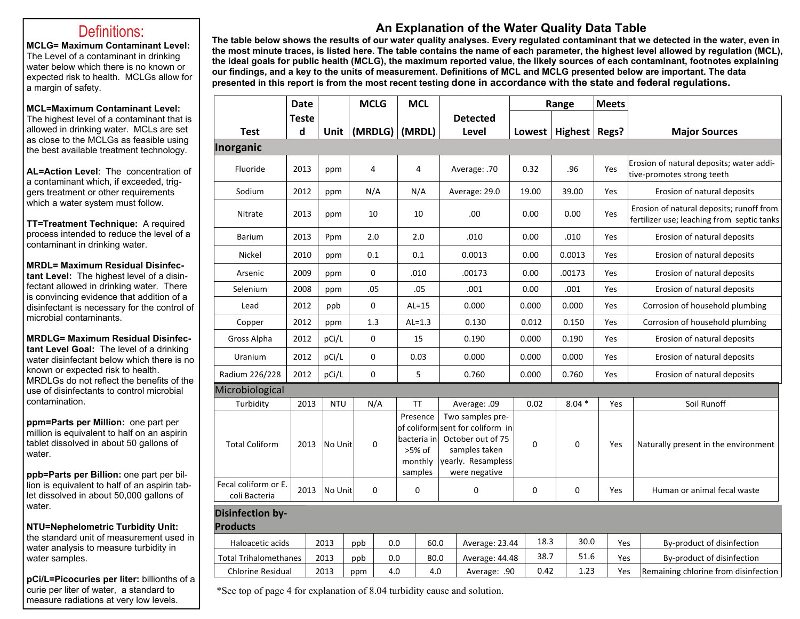#### Definitions:

**MCLG= Maximum Contaminant Level:** The Level of a contaminant in drinking water below which there is no known or expected risk to health. MCLGs allow for a margin of safety.

#### **MCL=Maximum Contaminant Level:**

The highest level of a contaminant that is allowed in drinking water. MCLs are set as close to the MCLGs as feasible using the best available treatment technology.

**AL=Action Level**: The concentration of a contaminant which, if exceeded, triggers treatment or other requirements which a water system must follow.

**TT=Treatment Technique:** A required process intended to reduce the level of a contaminant in drinking water.

**MRDL= Maximum Residual Disinfectant Level:** The highest level of a disinfectant allowed in drinking water. There is convincing evidence that addition of a disinfectant is necessary for the control of microbial contaminants.

**MRDLG= Maximum Residual Disinfectant Level Goal:** The level of a drinking water disinfectant below which there is no known or expected risk to health. MRDLGs do not reflect the benefits of the use of disinfectants to control microbial contamination.

**ppm=Parts per Million:** one part per million is equivalent to half on an aspirin tablet dissolved in about 50 gallons of water.

**ppb=Parts per Billion:** one part per billion is equivalent to half of an aspirin tablet dissolved in about 50,000 gallons of water.

**NTU=Nephelometric Turbidity Unit:**  the standard unit of measurement used in water analysis to measure turbidity in water samples.

**pCi/L=Picocuries per liter:** billionths of a curie per liter of water, a standard to measure radiations at very low levels.

#### **An Explanation of the Water Quality Data Table**

**The table below shows the results of our water quality analyses. Every regulated contaminant that we detected in the water, even in the most minute traces, is listed here. The table contains the name of each parameter, the highest level allowed by regulation (MCL), the ideal goals for public health (MCLG), the maximum reported value, the likely sources of each contaminant, footnotes explaining our findings, and a key to the units of measurement. Definitions of MCL and MCLG presented below are important. The data presented in this report is from the most recent testing done in accordance with the state and federal regulations.** 

|                                            | <b>Date</b>  |            | <b>MCLG</b> | <b>MCL</b>                                              |                                                                                                                                   | Range |                          | <b>Meets</b> |                                                                                        |
|--------------------------------------------|--------------|------------|-------------|---------------------------------------------------------|-----------------------------------------------------------------------------------------------------------------------------------|-------|--------------------------|--------------|----------------------------------------------------------------------------------------|
|                                            | <b>Teste</b> |            |             |                                                         | <b>Detected</b>                                                                                                                   |       |                          |              |                                                                                        |
| <b>Test</b>                                | d            | Unit       | (MRDLG)     | (MRDL)                                                  | Level                                                                                                                             |       | Lowest   Highest   Regs? |              | <b>Major Sources</b>                                                                   |
| Inorganic                                  |              |            |             |                                                         |                                                                                                                                   |       |                          |              |                                                                                        |
| Fluoride                                   | 2013         | ppm        | 4           | 4                                                       | Average: .70                                                                                                                      | 0.32  | .96                      | Yes          | Erosion of natural deposits; water addi-<br>tive-promotes strong teeth                 |
| Sodium                                     | 2012         | ppm        | N/A         | N/A                                                     | Average: 29.0                                                                                                                     | 19.00 | 39.00                    | Yes          | Erosion of natural deposits                                                            |
| Nitrate                                    | 2013         | ppm        | 10          | 10                                                      | .00                                                                                                                               | 0.00  | 0.00                     | Yes          | Erosion of natural deposits; runoff from<br>fertilizer use; leaching from septic tanks |
| <b>Barium</b>                              | 2013         | Ppm        | 2.0         | 2.0                                                     | .010                                                                                                                              | 0.00  | .010                     | Yes          | Erosion of natural deposits                                                            |
| Nickel                                     | 2010         | ppm        | 0.1         | 0.1                                                     | 0.0013                                                                                                                            | 0.00  | 0.0013                   | Yes          | Erosion of natural deposits                                                            |
| Arsenic                                    | 2009         | ppm        | $\pmb{0}$   | .010                                                    | .00173                                                                                                                            | 0.00  | .00173                   | Yes          | Erosion of natural deposits                                                            |
| Selenium                                   | 2008         | ppm        | .05         | .05                                                     | .001                                                                                                                              | 0.00  | .001                     | Yes          | Erosion of natural deposits                                                            |
| Lead                                       | 2012         | ppb        | $\mathbf 0$ | $AL=15$                                                 | 0.000                                                                                                                             | 0.000 | 0.000                    | Yes          | Corrosion of household plumbing                                                        |
| Copper                                     | 2012         | ppm        | 1.3         | $AL=1.3$                                                | 0.130                                                                                                                             | 0.012 | 0.150                    | Yes          | Corrosion of household plumbing                                                        |
| Gross Alpha                                | 2012         | pCi/L      | $\pmb{0}$   | 15                                                      | 0.190                                                                                                                             | 0.000 | 0.190                    | Yes          | Erosion of natural deposits                                                            |
| Uranium                                    | 2012         | pCi/L      | $\pmb{0}$   | 0.03                                                    | 0.000                                                                                                                             | 0.000 | 0.000                    | Yes          | Erosion of natural deposits                                                            |
| Radium 226/228                             | 2012         | pCi/L      | $\mathbf 0$ | 5                                                       | 0.760                                                                                                                             | 0.000 | 0.760                    | Yes          | Erosion of natural deposits                                                            |
| Microbiological                            |              |            |             |                                                         |                                                                                                                                   |       |                          |              |                                                                                        |
| Turbidity                                  | 2013         | <b>NTU</b> | N/A         | ΤT                                                      | Average: .09                                                                                                                      | 0.02  | $8.04*$                  | Yes          | Soil Runoff                                                                            |
| <b>Total Coliform</b>                      | 2013         | No Unit    | $\mathbf 0$ | Presence<br>bacteria in<br>>5% of<br>monthly<br>samples | Two samples pre-<br>of coliform sent for coliform in<br>October out of 75<br>samples taken<br>yearly. Resampless<br>were negative | 0     | $\mathbf 0$              | Yes          | Naturally present in the environment                                                   |
| Fecal coliform or E.<br>coli Bacteria      | 2013         | No Unit    | $\mathbf 0$ | 0                                                       | $\mathbf 0$                                                                                                                       | 0     | $\mathbf 0$              | Yes          | Human or animal fecal waste                                                            |
| <b>Disinfection by-</b><br><b>Products</b> |              |            |             |                                                         |                                                                                                                                   |       |                          |              |                                                                                        |
| Haloacetic acids                           |              | 2013       | ppb         | 0.0                                                     | 60.0<br>Average: 23.44                                                                                                            | 18.3  | 30.0                     | Yes          | By-product of disinfection                                                             |
| <b>Total Trihalomethanes</b>               |              | 2013       | ppb         | 0.0                                                     | 80.0<br>Average: 44.48                                                                                                            | 38.7  | 51.6                     | Yes          | By-product of disinfection                                                             |
| <b>Chlorine Residual</b>                   |              | 2013       | ppm         | 4.0                                                     | 4.0<br>Average: .90                                                                                                               | 0.42  | 1.23                     | Yes          | Remaining chlorine from disinfection                                                   |

\*See top of page 4 for explanation of 8.04 turbidity cause and solution.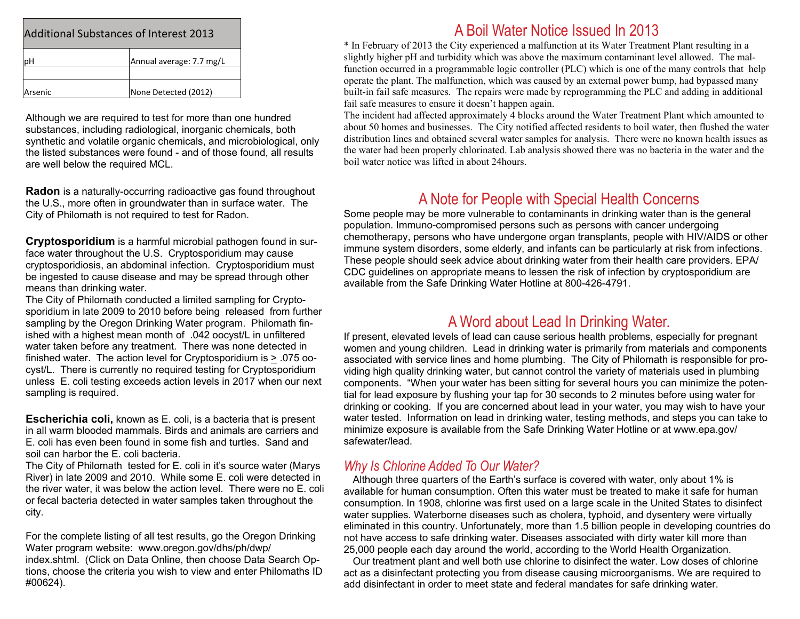| <b>Additional Substances of Interest 2013</b> |                          |  |  |  |  |  |  |
|-----------------------------------------------|--------------------------|--|--|--|--|--|--|
|                                               | Annual average: 7.7 mg/L |  |  |  |  |  |  |
| Arsenic                                       | None Detected (2012)     |  |  |  |  |  |  |

Although we are required to test for more than one hundred substances, including radiological, inorganic chemicals, both synthetic and volatile organic chemicals, and microbiological, only the listed substances were found - and of those found, all results are well below the required MCL.

**Radon** is a naturally-occurring radioactive gas found throughout the U.S., more often in groundwater than in surface water. The City of Philomath is not required to test for Radon.

**Cryptosporidium** is a harmful microbial pathogen found in surface water throughout the U.S. Cryptosporidium may cause cryptosporidiosis, an abdominal infection. Cryptosporidium must be ingested to cause disease and may be spread through other means than drinking water.

The City of Philomath conducted a limited sampling for Cryptosporidium in late 2009 to 2010 before being released from further sampling by the Oregon Drinking Water program. Philomath finished with a highest mean month of .042 oocyst/L in unfiltered water taken before any treatment. There was none detected in finished water. The action level for Cryptosporidium is > .075 oocyst/L. There is currently no required testing for Cryptosporidium unless E. coli testing exceeds action levels in 2017 when our next sampling is required.

**Escherichia coli,** known as E. coli, is a bacteria that is present in all warm blooded mammals. Birds and animals are carriers and E. coli has even been found in some fish and turtles. Sand and soil can harbor the E. coli bacteria.

The City of Philomath tested for E. coli in it's source water (Marys River) in late 2009 and 2010. While some E. coli were detected in the river water, it was below the action level. There were no E. coli or fecal bacteria detected in water samples taken throughout the city.

For the complete listing of all test results, go the Oregon Drinking Water program website: www.oregon.gov/dhs/ph/dwp/ index.shtml. (Click on Data Online, then choose Data Search Options, choose the criteria you wish to view and enter Philomaths ID #00624).

#### A Boil Water Notice Issued In 2013

\* In February of 2013 the City experienced a malfunction at its Water Treatment Plant resulting in a slightly higher pH and turbidity which was above the maximum contaminant level allowed. The malfunction occurred in a programmable logic controller (PLC) which is one of the many controls that help operate the plant. The malfunction, which was caused by an external power bump, had bypassed many built-in fail safe measures. The repairs were made by reprogramming the PLC and adding in additional fail safe measures to ensure it doesn't happen again.

The incident had affected approximately 4 blocks around the Water Treatment Plant which amounted to about 50 homes and businesses. The City notified affected residents to boil water, then flushed the water distribution lines and obtained several water samples for analysis. There were no known health issues as the water had been properly chlorinated. Lab analysis showed there was no bacteria in the water and the boil water notice was lifted in about 24hours.

## A Note for People with Special Health Concerns

Some people may be more vulnerable to contaminants in drinking water than is the general population. Immuno-compromised persons such as persons with cancer undergoing chemotherapy, persons who have undergone organ transplants, people with HIV/AIDS or other immune system disorders, some elderly, and infants can be particularly at risk from infections. These people should seek advice about drinking water from their health care providers. EPA/ CDC guidelines on appropriate means to lessen the risk of infection by cryptosporidium are available from the Safe Drinking Water Hotline at 800-426-4791.

### A Word about Lead In Drinking Water.

If present, elevated levels of lead can cause serious health problems, especially for pregnant women and young children. Lead in drinking water is primarily from materials and components associated with service lines and home plumbing. The City of Philomath is responsible for providing high quality drinking water, but cannot control the variety of materials used in plumbing components. "When your water has been sitting for several hours you can minimize the potential for lead exposure by flushing your tap for 30 seconds to 2 minutes before using water for drinking or cooking. If you are concerned about lead in your water, you may wish to have your water tested. Information on lead in drinking water, testing methods, and steps you can take to minimize exposure is available from the Safe Drinking Water Hotline or at www.epa.gov/ safewater/lead.

#### *Why Is Chlorine Added To Our Water?*

 Although three quarters of the Earth's surface is covered with water, only about 1% is available for human consumption. Often this water must be treated to make it safe for human consumption. In 1908, chlorine was first used on a large scale in the United States to disinfect water supplies. Waterborne diseases such as cholera, typhoid, and dysentery were virtually eliminated in this country. Unfortunately, more than 1.5 billion people in developing countries do not have access to safe drinking water. Diseases associated with dirty water kill more than 25,000 people each day around the world, according to the World Health Organization.

 Our treatment plant and well both use chlorine to disinfect the water. Low doses of chlorine act as a disinfectant protecting you from disease causing microorganisms. We are required to add disinfectant in order to meet state and federal mandates for safe drinking water.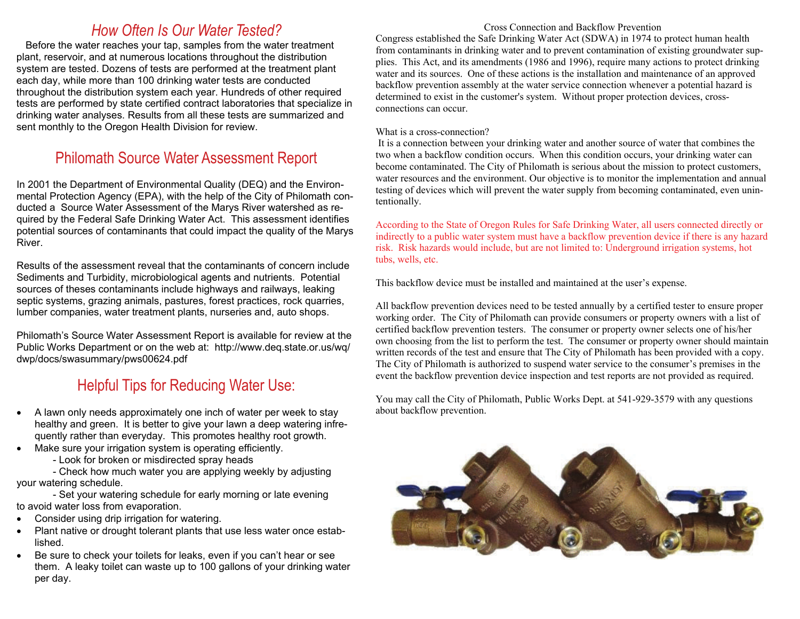### *How Often Is Our Water Tested?*

Before the water reaches your tap, samples from the water treatment plant, reservoir, and at numerous locations throughout the distribution system are tested. Dozens of tests are performed at the treatment plant each day, while more than 100 drinking water tests are conducted throughout the distribution system each year. Hundreds of other required tests are performed by state certified contract laboratories that specialize in drinking water analyses. Results from all these tests are summarized and sent monthly to the Oregon Health Division for review.

### Philomath Source Water Assessment Report

In 2001 the Department of Environmental Quality (DEQ) and the Environmental Protection Agency (EPA), with the help of the City of Philomath conducted a Source Water Assessment of the Marys River watershed as required by the Federal Safe Drinking Water Act. This assessment identifies potential sources of contaminants that could impact the quality of the Marys River.

Results of the assessment reveal that the contaminants of concern include Sediments and Turbidity, microbiological agents and nutrients. Potential sources of theses contaminants include highways and railways, leaking septic systems, grazing animals, pastures, forest practices, rock quarries, lumber companies, water treatment plants, nurseries and, auto shops.

Philomath's Source Water Assessment Report is available for review at the Public Works Department or on the web at: http://www.deq.state.or.us/wq/ dwp/docs/swasummary/pws00624.pdf

## Helpful Tips for Reducing Water Use:

- $\bullet$  A lawn only needs approximately one inch of water per week to stay healthy and green. It is better to give your lawn a deep watering infrequently rather than everyday. This promotes healthy root growth.
- $\bullet$  Make sure your irrigation system is operating efficiently.
	- Look for broken or misdirected spray heads

 - Check how much water you are applying weekly by adjusting your watering schedule.

 - Set your watering schedule for early morning or late evening to avoid water loss from evaporation.

- $\bullet$ Consider using drip irrigation for watering.
- $\bullet$  Plant native or drought tolerant plants that use less water once established.
- $\bullet$  Be sure to check your toilets for leaks, even if you can't hear or see them. A leaky toilet can waste up to 100 gallons of your drinking water per day.

#### Cross Connection and Backflow Prevention

Congress established the Safe Drinking Water Act (SDWA) in 1974 to protect human health from contaminants in drinking water and to prevent contamination of existing groundwater supplies. This Act, and its amendments (1986 and 1996), require many actions to protect drinking water and its sources. One of these actions is the installation and maintenance of an approved backflow prevention assembly at the water service connection whenever a potential hazard is determined to exist in the customer's system. Without proper protection devices, crossconnections can occur.

#### What is a cross-connection?

 It is a connection between your drinking water and another source of water that combines the two when a backflow condition occurs. When this condition occurs, your drinking water can become contaminated. The City of Philomath is serious about the mission to protect customers, water resources and the environment. Our objective is to monitor the implementation and annual testing of devices which will prevent the water supply from becoming contaminated, even unintentionally.

According to the State of Oregon Rules for Safe Drinking Water, all users connected directly or indirectly to a public water system must have a backflow prevention device if there is any hazard risk. Risk hazards would include, but are not limited to: Underground irrigation systems, hot tubs, wells, etc.

This backflow device must be installed and maintained at the user's expense.

All backflow prevention devices need to be tested annually by a certified tester to ensure proper working order. The City of Philomath can provide consumers or property owners with a list of certified backflow prevention testers. The consumer or property owner selects one of his/her own choosing from the list to perform the test. The consumer or property owner should maintain written records of the test and ensure that The City of Philomath has been provided with a copy. The City of Philomath is authorized to suspend water service to the consumer's premises in the event the backflow prevention device inspection and test reports are not provided as required.

You may call the City of Philomath, Public Works Dept. at 541-929-3579 with any questions about backflow prevention.